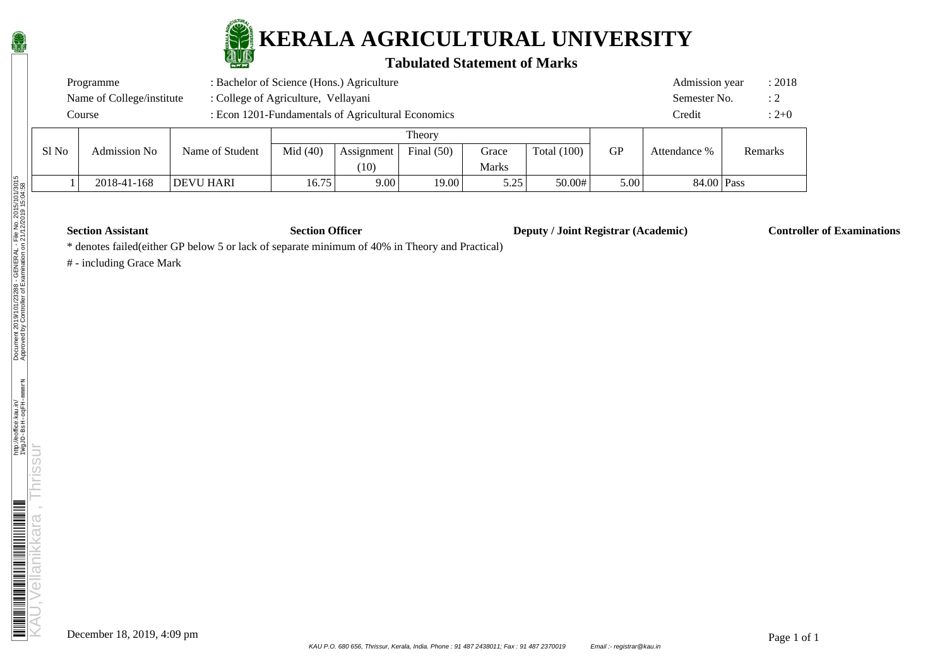

#### **Tabulated Statement of Marks**

|                                                              | Programme                 | Admission year  | : 2018     |            |              |       |               |        |              |         |  |
|--------------------------------------------------------------|---------------------------|-----------------|------------|------------|--------------|-------|---------------|--------|--------------|---------|--|
|                                                              | Name of College/institute | Semester No.    | : 2        |            |              |       |               |        |              |         |  |
| : Econ 1201-Fundamentals of Agricultural Economics<br>Course |                           |                 |            |            |              |       |               | Credit | $: 2+0$      |         |  |
|                                                              | Theory                    |                 |            |            |              |       |               |        |              |         |  |
| Sl No                                                        | <b>Admission No</b>       | Name of Student | Mid $(40)$ | Assignment | Final $(50)$ | Grace | Total $(100)$ | GP     | Attendance % | Remarks |  |

| AUIIIISSIOII INO | ivalile of Studelit | MIA (40)      | ASSIgnifiem<br>$\left[10\right]$ | гшан (эм) | UI ace<br>Marks | TOtal (TUU) | Uľ   | Auendance % | Reiliarks |  |
|------------------|---------------------|---------------|----------------------------------|-----------|-----------------|-------------|------|-------------|-----------|--|
| 2018-41-168      | <b>DEVU HARI</b>    | 75<br>LV. / J | $9.00\,$                         | 19.00     | 5 25<br>ن ہے .  | 50.00#      | 5.00 | 84.00 Pass  |           |  |

**Section Assistant Section Officer Deputy / Joint Registrar (Academic) Controller of Examinations** 

\* denotes failed(either GP below 5 or lack of separate minimum of 40% in Theory and Practical)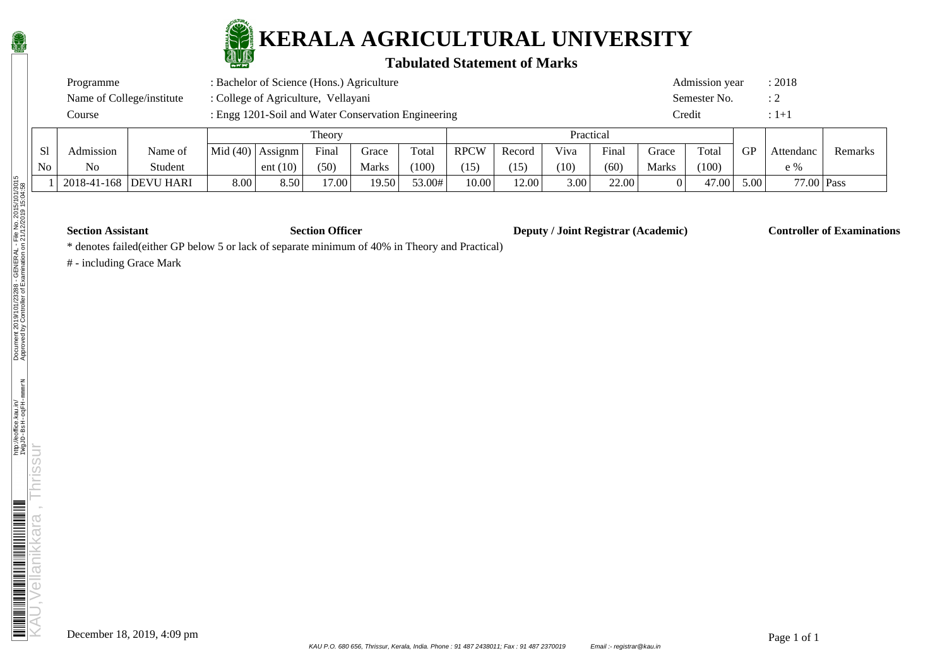

### **Tabulated Statement of Marks**

| Programme                 | : Bachelor of Science (Hons.) Agriculture           | Admission year            | : 2018      |
|---------------------------|-----------------------------------------------------|---------------------------|-------------|
| Name of College/institute | : College of Agriculture, Vellayani                 | $\cdot$ ?<br>Semester No. |             |
| Course                    | : Engg 1201-Soil and Water Conservation Engineering | Credit                    | $\pm 1 + 1$ |

|    |                         |         |            |         | Theory |                    |        | Practical   |        |      |       |              |       |           |            |         |
|----|-------------------------|---------|------------|---------|--------|--------------------|--------|-------------|--------|------|-------|--------------|-------|-----------|------------|---------|
| S1 | Admission               | Name of | Mid $(40)$ | Assignm | Final  | Grace              | Total  | <b>RPCW</b> | Record | Viva | Final | Grace        | Total | <b>GP</b> | Attendanc  | Remarks |
| No | No                      | Student |            | ent(10) | (50)   | Marks              | (100)  | (15)        | (15)   | (10) | (60)  | <b>Marks</b> | (100) |           | $e \%$     |         |
|    | 2018-41-168   DEVU HARI |         | 3.00       | 8.50    | 17.00  | 19.50 <sub>1</sub> | 53.00# | 10.00       | 12.00  | 3.00 | 22.00 |              | 47.00 | 5.00      | 77.00 Pass |         |

**Section Assistant Section Officer Deputy / Joint Registrar (Academic) Controller of Examinations** 

\* denotes failed(either GP below 5 or lack of separate minimum of 40% in Theory and Practical)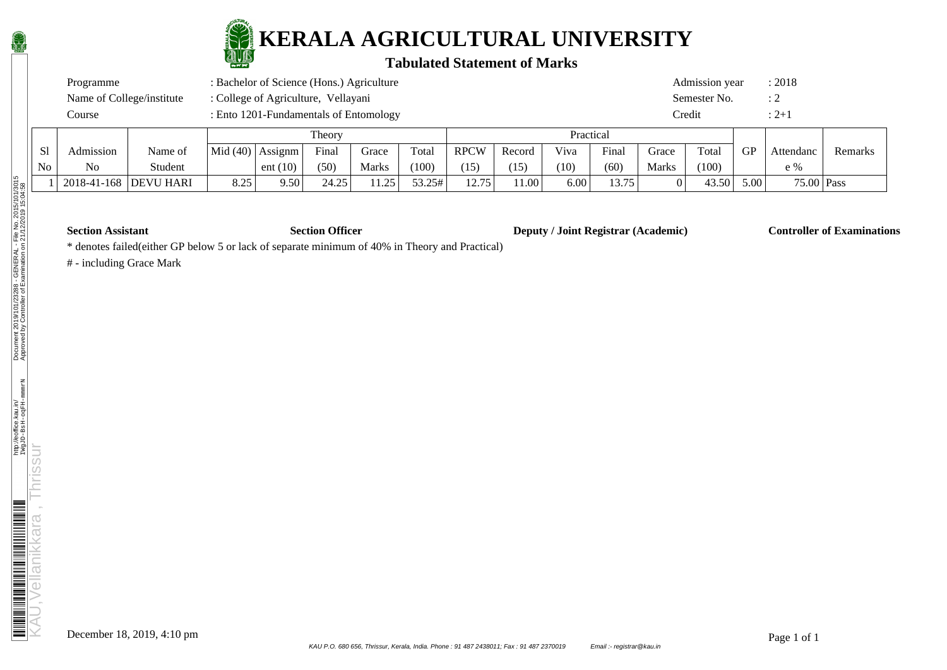

### **Tabulated Statement of Marks**

| Programme                 | : Bachelor of Science (Hons.) Agriculture | Admission year                 | : 2018    |
|---------------------------|-------------------------------------------|--------------------------------|-----------|
| Name of College/institute | : College of Agriculture, Vellayani       | Semester No.<br>$\therefore 2$ |           |
| Course                    | : Ento 1201-Fundamentals of Entomology    | Credit                         | $: 2 + 1$ |

|    |             |                  |                    |            | Theory |              |        |             |        | Practical |       |              |       |           |              |         |
|----|-------------|------------------|--------------------|------------|--------|--------------|--------|-------------|--------|-----------|-------|--------------|-------|-----------|--------------|---------|
| S1 | Admission   | Name of          | Mid $(40)$ Assignm |            | Final  | Grace        | Total  | <b>RPCW</b> | Record | Viva      | Final | Grace        | Total | <b>GP</b> | Attendanc    | Remarks |
| No | No          | Student          |                    | ent $(10)$ | (50)   | <b>Marks</b> | (100)  | 15          | (15)   | (10)      | (60)  | <b>Marks</b> | (100) |           | $e \%$       |         |
|    | 2018-41-168 | <b>DEVU HARI</b> | 8.25               | 9.50       | 24.25  | 11.25        | 53.25# | 12.75       | 1.00'  | 6.00      | 13.75 |              | 43.50 | 5.00      | $75.00$ Pass |         |

**Section Assistant Section Officer Deputy / Joint Registrar (Academic) Controller of Examinations** 

\* denotes failed(either GP below 5 or lack of separate minimum of 40% in Theory and Practical)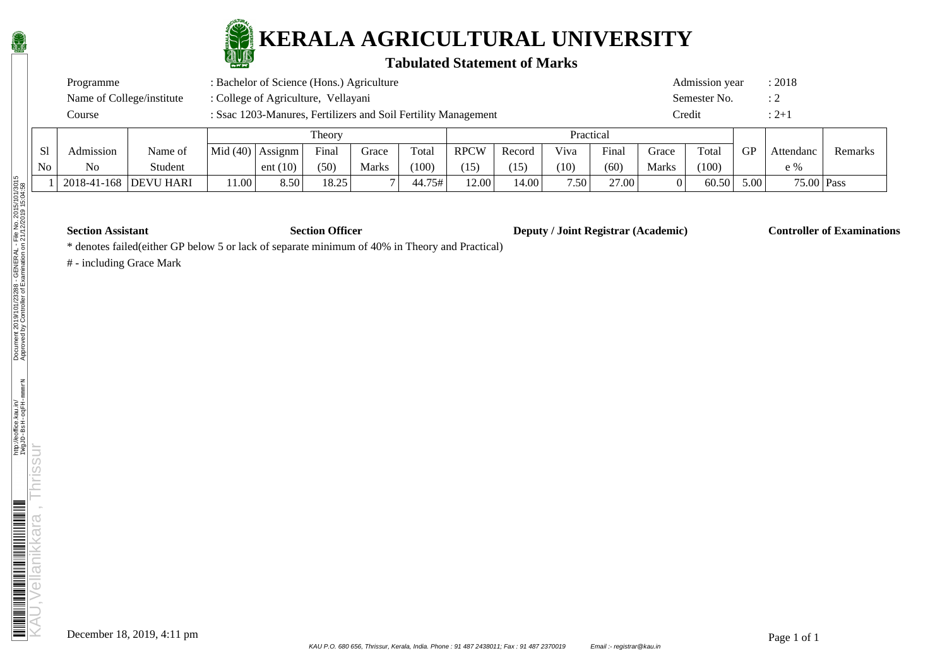

### **Tabulated Statement of Marks**

| Programme                 | : Bachelor of Science (Hons.) Agriculture                      | Admission year | : 2018    |
|---------------------------|----------------------------------------------------------------|----------------|-----------|
| Name of College/institute | : College of Agriculture, Vellayani                            | Semester No.   |           |
| Course                    | : Ssac 1203-Manures, Fertilizers and Soil Fertility Management | Credit         | $: 2 + 1$ |

|                |                         |         |       | Theory            |       |       |        |             | Practical |                   |       |              |       |      |              |         |
|----------------|-------------------------|---------|-------|-------------------|-------|-------|--------|-------------|-----------|-------------------|-------|--------------|-------|------|--------------|---------|
| S <sub>1</sub> | Admission               | Name of |       | $Mid(40)$ Assignm | Final | Grace | Total  | <b>RPCW</b> | Record    | Viva              | Final | Grace        | Total | GP   | Attendanc    | Remarks |
| N <sub>0</sub> | N <sub>o</sub>          | Student |       | ent $(10)$        | (50)  | Marks | (100)  | (15)        | (15)      | (10)              | (60)  | <b>Marks</b> | (100) |      | e %          |         |
|                | 2018-41-168   DEVU HARI |         | 11.00 | 8.50              | 18.25 |       | 44.75# | 12.00       | 14.00     | 7.50 <sub>1</sub> | 27.00 |              | 60.50 | 5.00 | $75.00$ Pass |         |

**Section Assistant Section Officer Deputy / Joint Registrar (Academic) Controller of Examinations** 

\* denotes failed(either GP below 5 or lack of separate minimum of 40% in Theory and Practical)